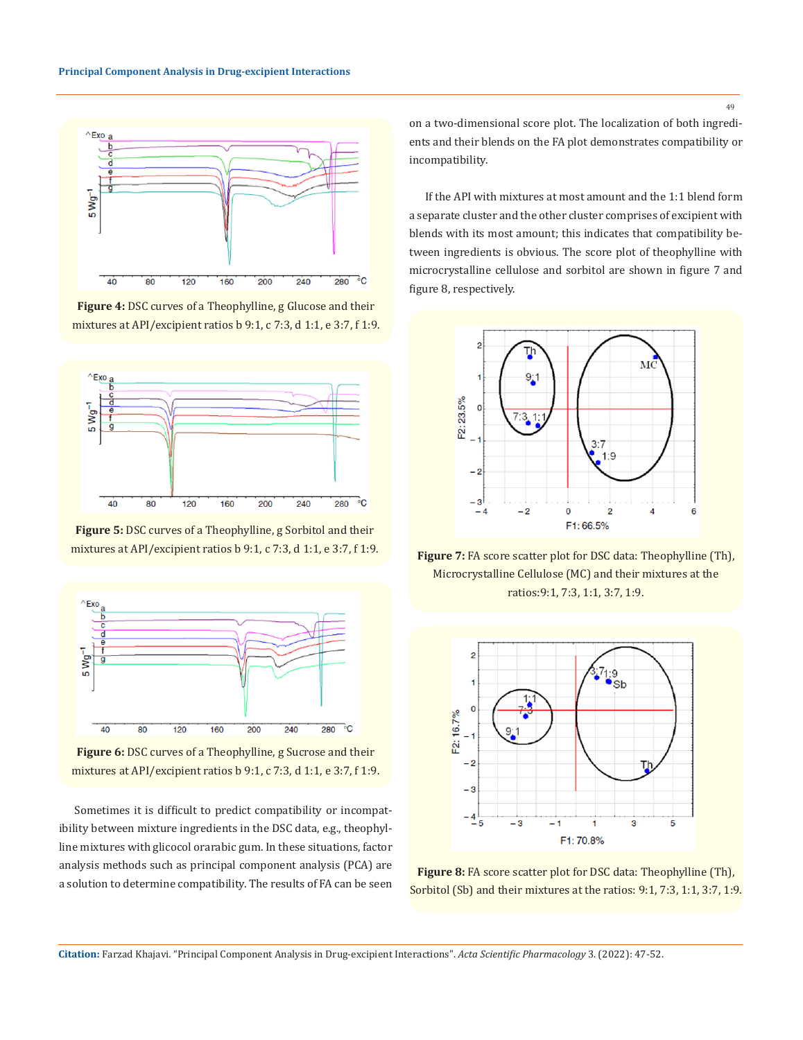

**Figure 4:** DSC curves of a Theophylline, g Glucose and their mixtures at API/excipient ratios b 9:1, c 7:3, d 1:1, e 3:7, f 1:9.



**Figure 5:** DSC curves of a Theophylline, g Sorbitol and their mixtures at API/excipient ratios b 9:1, c 7:3, d 1:1, e 3:7, f 1:9.



**Figure 6:** DSC curves of a Theophylline, g Sucrose and their mixtures at API/excipient ratios b 9:1, c 7:3, d 1:1, e 3:7, f 1:9.

Sometimes it is difficult to predict compatibility or incompatibility between mixture ingredients in the DSC data, e.g., theophylline mixtures with glicocol orarabic gum. In these situations, factor analysis methods such as principal component analysis (PCA) are a solution to determine compatibility. The results of FA can be seen on a two-dimensional score plot. The localization of both ingredients and their blends on the FA plot demonstrates compatibility or incompatibility.

If the API with mixtures at most amount and the 1:1 blend form a separate cluster and the other cluster comprises of excipient with blends with its most amount; this indicates that compatibility between ingredients is obvious. The score plot of theophylline with microcrystalline cellulose and sorbitol are shown in figure 7 and figure 8, respectively.



**Figure 7:** FA score scatter plot for DSC data: Theophylline (Th), Microcrystalline Cellulose (MC) and their mixtures at the ratios:9:1, 7:3, 1:1, 3:7, 1:9.



**Figure 8:** FA score scatter plot for DSC data: Theophylline (Th), Sorbitol (Sb) and their mixtures at the ratios: 9:1, 7:3, 1:1, 3:7, 1:9.

49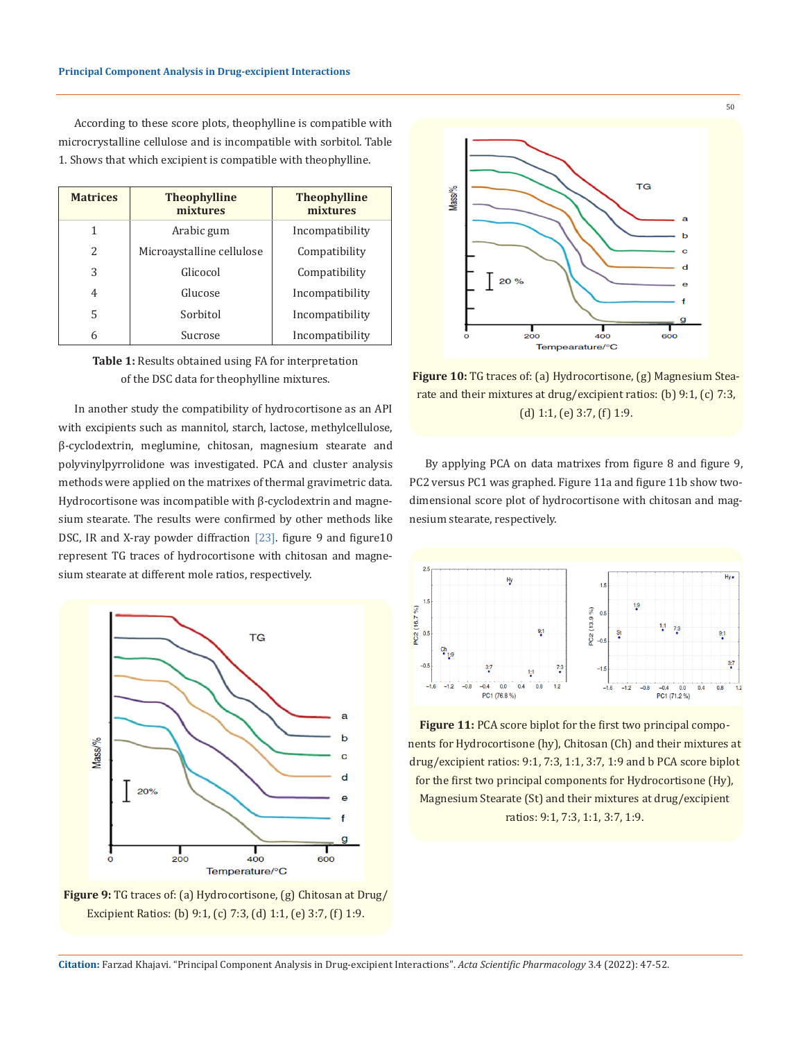According to these score plots, theophylline is compatible with microcrystalline cellulose and is incompatible with sorbitol. Table 1. Shows that which excipient is compatible with theophylline.

| <b>Matrices</b> | <b>Theophylline</b><br>mixtures | <b>Theophylline</b><br>mixtures |  |
|-----------------|---------------------------------|---------------------------------|--|
| 1               | Arabic gum                      | Incompatibility                 |  |
| $\mathcal{L}$   | Microaystalline cellulose       | Compatibility                   |  |
| 3               | Glicocol                        | Compatibility                   |  |
| 4               | Glucose                         | Incompatibility                 |  |
| 5               | Sorbitol                        | Incompatibility                 |  |
| 6               | Sucrose                         | Incompatibility                 |  |



In another study the compatibility of hydrocortisone as an API with excipients such as mannitol, starch, lactose, methylcellulose, β-cyclodextrin, meglumine, chitosan, magnesium stearate and polyvinylpyrrolidone was investigated. PCA and cluster analysis methods were applied on the matrixes of thermal gravimetric data. Hydrocortisone was incompatible with β-cyclodextrin and magnesium stearate. The results were confirmed by other methods like DSC, IR and X-ray powder diffraction [23]. figure 9 and figure10 represent TG traces of hydrocortisone with chitosan and magnesium stearate at different mole ratios, respectively.



**Figure 9:** TG traces of: (a) Hydrocortisone, (g) Chitosan at Drug/ Excipient Ratios: (b) 9:1, (c) 7:3, (d) 1:1, (e) 3:7, (f) 1:9.



**Figure 10:** TG traces of: (a) Hydrocortisone, (g) Magnesium Stearate and their mixtures at drug/excipient ratios: (b) 9:1, (c) 7:3, (d) 1:1, (e) 3:7, (f) 1:9.

By applying PCA on data matrixes from figure 8 and figure 9, PC2 versus PC1 was graphed. Figure 11a and figure 11b show twodimensional score plot of hydrocortisone with chitosan and magnesium stearate, respectively.



**Figure 11:** PCA score biplot for the first two principal components for Hydrocortisone (hy), Chitosan (Ch) and their mixtures at drug/excipient ratios: 9:1, 7:3, 1:1, 3:7, 1:9 and b PCA score biplot for the first two principal components for Hydrocortisone (Hy), Magnesium Stearate (St) and their mixtures at drug/excipient ratios: 9:1, 7:3, 1:1, 3:7, 1:9.

**Citation:** Farzad Khajavi*.* "Principal Component Analysis in Drug-excipient Interactions". *Acta Scientific Pharmacology* 3.4 (2022): 47-52.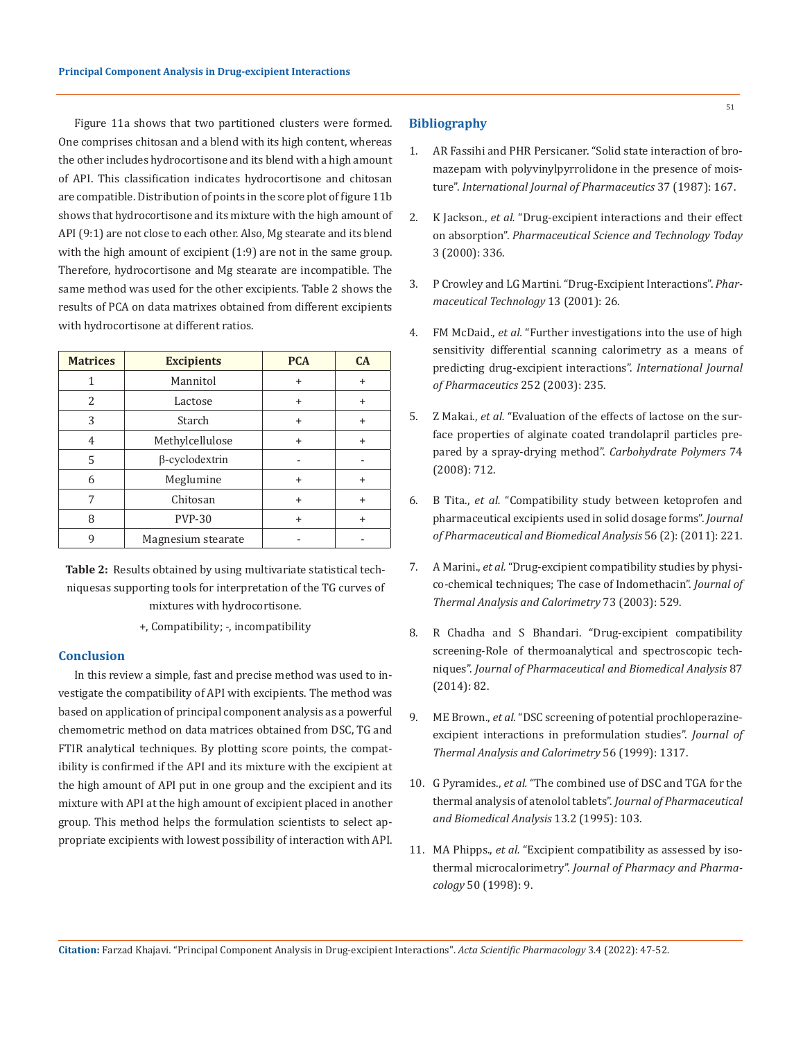Figure 11a shows that two partitioned clusters were formed. One comprises chitosan and a blend with its high content, whereas the other includes hydrocortisone and its blend with a high amount of API. This classification indicates hydrocortisone and chitosan are compatible. Distribution of points in the score plot of figure 11b shows that hydrocortisone and its mixture with the high amount of API (9:1) are not close to each other. Also, Mg stearate and its blend with the high amount of excipient (1:9) are not in the same group. Therefore, hydrocortisone and Mg stearate are incompatible. The same method was used for the other excipients. Table 2 shows the results of PCA on data matrixes obtained from different excipients with hydrocortisone at different ratios.

| <b>Matrices</b> | <b>Excipients</b>     | <b>PCA</b> | CA        |
|-----------------|-----------------------|------------|-----------|
| 1               | Mannitol              | $\ddot{}$  | $\ddot{}$ |
| 2               | Lactose               | $\ddot{}$  | $\ddot{}$ |
| 3               | Starch                | ÷          | +         |
| 4               | Methylcellulose       | $\ddot{}$  | ÷         |
| 5               | $\beta$ -cyclodextrin |            |           |
| 6               | Meglumine             | $\ddot{}$  | $\ddot{}$ |
|                 | Chitosan              | ÷          | $\ddot{}$ |
| 8               | <b>PVP-30</b>         | $\div$     | $\div$    |
|                 | Magnesium stearate    |            |           |

**Table 2:** Results obtained by using multivariate statistical techniquesas supporting tools for interpretation of the TG curves of mixtures with hydrocortisone.

+, Compatibility; -, incompatibility

## **Conclusion**

In this review a simple, fast and precise method was used to investigate the compatibility of API with excipients. The method was based on application of principal component analysis as a powerful chemometric method on data matrices obtained from DSC, TG and FTIR analytical techniques. By plotting score points, the compatibility is confirmed if the API and its mixture with the excipient at the high amount of API put in one group and the excipient and its mixture with API at the high amount of excipient placed in another group. This method helps the formulation scientists to select appropriate excipients with lowest possibility of interaction with API.

## **Bibliography**

- 1. [AR Fassihi and PHR Persicaner. "Solid state interaction of bro](https://www.sciencedirect.com/science/article/abs/pii/0378517387900226)[mazepam with polyvinylpyrrolidone in the presence of mois](https://www.sciencedirect.com/science/article/abs/pii/0378517387900226)ture". *[International Journal of Pharmaceutics](https://www.sciencedirect.com/science/article/abs/pii/0378517387900226)* 37 (1987): 167.
- 2. K Jackson., *et al.* ["Drug-excipient interactions and their effect](https://pubmed.ncbi.nlm.nih.gov/11050458/) on absorption". *Pharmaceutical [Science and Technology Today](https://pubmed.ncbi.nlm.nih.gov/11050458/)* [3 \(2000\): 336.](https://pubmed.ncbi.nlm.nih.gov/11050458/)
- 3. [P Crowley and LG Martini. "Drug-Excipient Interactions".](https://www.researchgate.net/publication/287415979_Drug-excipient_interactions) *Phar[maceutical Technology](https://www.researchgate.net/publication/287415979_Drug-excipient_interactions)* 13 (2001): 26.
- 4. FM McDaid., *et al.* ["Further investigations into the use of high](https://pubmed.ncbi.nlm.nih.gov/12550799/) [sensitivity differential scanning calorimetry as a means of](https://pubmed.ncbi.nlm.nih.gov/12550799/) [predicting drug-excipient interactions".](https://pubmed.ncbi.nlm.nih.gov/12550799/) *International Journal of [Pharmaceutics](https://pubmed.ncbi.nlm.nih.gov/12550799/)* 252 (2003): 235.
- 5. Z Makai., *et al.* ["Evaluation of the effects of lactose on the sur](https://www.researchgate.net/publication/222977845_Evaluation_of_the_effect_of_lactose_on_the_surface_properties_of_alginate_coated_trandolapril_particles_prepared_by_spray_drying)[face properties of alginate coated trandolapril particles pre](https://www.researchgate.net/publication/222977845_Evaluation_of_the_effect_of_lactose_on_the_surface_properties_of_alginate_coated_trandolapril_particles_prepared_by_spray_drying)[pared by a spray-drying method".](https://www.researchgate.net/publication/222977845_Evaluation_of_the_effect_of_lactose_on_the_surface_properties_of_alginate_coated_trandolapril_particles_prepared_by_spray_drying) *Carbohydrate Polymers* 74 [\(2008\): 712.](https://www.researchgate.net/publication/222977845_Evaluation_of_the_effect_of_lactose_on_the_surface_properties_of_alginate_coated_trandolapril_particles_prepared_by_spray_drying)
- 6. B Tita., *et al.* ["Compatibility study between ketoprofen and](https://www.sciencedirect.com/science/article/abs/pii/S0731708511002767) [pharmaceutical excipients used in solid dosage forms".](https://www.sciencedirect.com/science/article/abs/pii/S0731708511002767) *Journal [of Pharmaceutical and Biomedical Analysis](https://www.sciencedirect.com/science/article/abs/pii/S0731708511002767)* 56 (2): (2011): 221.
- 7. A Marini., *et al.* ["Drug-excipient compatibility studies by physi](https://www.researchgate.net/publication/233588207_Drug-excipient_compatibility_studies_by_physico-chemical_techniques_The_case_of_Indomethacin)[co-chemical techniques; The case of Indomethacin".](https://www.researchgate.net/publication/233588207_Drug-excipient_compatibility_studies_by_physico-chemical_techniques_The_case_of_Indomethacin) *Journal of [Thermal Analysis and Calorimetry](https://www.researchgate.net/publication/233588207_Drug-excipient_compatibility_studies_by_physico-chemical_techniques_The_case_of_Indomethacin)* 73 (2003): 529.
- 8. [R Chadha and S Bhandari. "Drug-excipient compatibility](https://pubmed.ncbi.nlm.nih.gov/23845418/) [screening-Role of thermoanalytical and spectroscopic tech](https://pubmed.ncbi.nlm.nih.gov/23845418/)niques". *[Journal of Pharmaceutical and Biomedical Analysis](https://pubmed.ncbi.nlm.nih.gov/23845418/)* 87 [\(2014\): 82.](https://pubmed.ncbi.nlm.nih.gov/23845418/)
- 9. ME Brown., *et al.* ["DSC screening of potential prochloperazine](https://link.springer.com/article/10.1023/A:1010150305542)[excipient interactions in preformulation studies".](https://link.springer.com/article/10.1023/A:1010150305542) *Journal of [Thermal Analysis and Calorimetry](https://link.springer.com/article/10.1023/A:1010150305542)* 56 (1999): 1317.
- 10. G Pyramides., *et al.* ["The combined use of DSC and TGA for the](https://pubmed.ncbi.nlm.nih.gov/7766716/)  [thermal analysis of atenolol tablets".](https://pubmed.ncbi.nlm.nih.gov/7766716/) *Journal of Pharmaceutical [and Biomedical Analysis](https://pubmed.ncbi.nlm.nih.gov/7766716/)* 13.2 (1995): 103.
- 11. MA Phipps., *et al.* ["Excipient compatibility as assessed by iso](https://www.semanticscholar.org/paper/Excipient-compatibility-as-assessed-by-isothermal-Phipps-Winnike/bc37a50ec5cad70d16c647daeaf34c1d1ec9959a)thermal microcalorimetry". *Journal of [Pharmacy and Pharma](https://www.semanticscholar.org/paper/Excipient-compatibility-as-assessed-by-isothermal-Phipps-Winnike/bc37a50ec5cad70d16c647daeaf34c1d1ec9959a)cology* [50 \(1998\): 9.](https://www.semanticscholar.org/paper/Excipient-compatibility-as-assessed-by-isothermal-Phipps-Winnike/bc37a50ec5cad70d16c647daeaf34c1d1ec9959a)